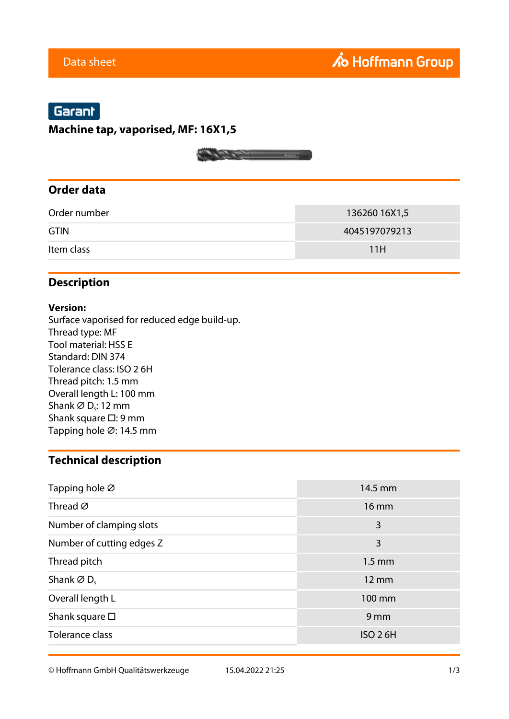# Garant

#### **Machine tap, vaporised, MF: 16X1,5**

#### **Order data**

| Order number | 136260 16X1,5 |
|--------------|---------------|
| <b>GTIN</b>  | 4045197079213 |
| Item class   | 11H           |

## **Description**

#### **Version:**

Surface vaporised for reduced edge build-up. Thread type: MF Tool material: HSS E Standard: DIN 374 Tolerance class: ISO 2 6H Thread pitch: 1.5 mm Overall length L: 100 mm Shank  $\varnothing$  D<sub>s</sub>: 12 mm Shank square □: 9 mm Tapping hole ⌀: 14.5 mm

## **Technical description**

| Tapping hole Ø                     | 14.5 mm          |
|------------------------------------|------------------|
| Thread $\varnothing$               | $16 \text{ mm}$  |
| Number of clamping slots           | 3                |
| Number of cutting edges Z          | 3                |
| Thread pitch                       | $1.5 \text{ mm}$ |
| Shank $\varnothing$ D <sub>s</sub> | 12 mm            |
| Overall length L                   | 100 mm           |
| Shank square $\square$             | 9 <sub>mm</sub>  |
| Tolerance class                    | <b>ISO 26H</b>   |

© Hoffmann GmbH Qualitätswerkzeuge 15.04.2022 21:25 1/3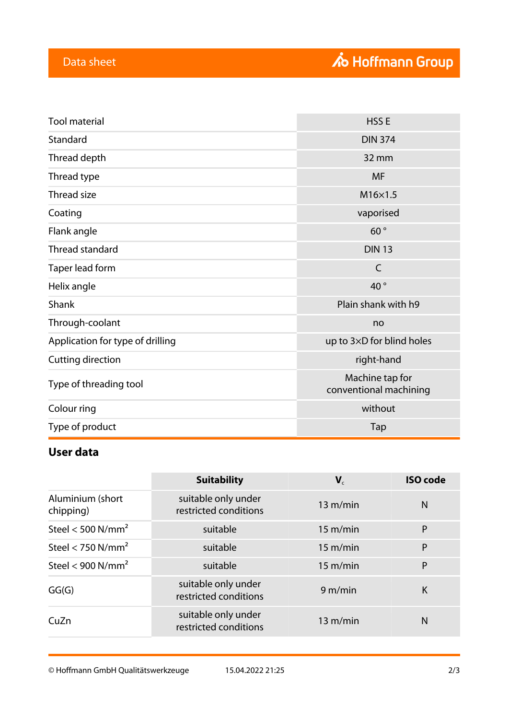| <b>Tool material</b>                                          | HSS <sub>E</sub>                          |  |
|---------------------------------------------------------------|-------------------------------------------|--|
| Standard                                                      | <b>DIN 374</b>                            |  |
| Thread depth                                                  | 32 mm                                     |  |
| Thread type                                                   | <b>MF</b>                                 |  |
| Thread size                                                   | $M16\times1.5$                            |  |
| Coating                                                       | vaporised                                 |  |
| Flank angle                                                   | 60°                                       |  |
| Thread standard<br><b>DIN 13</b>                              |                                           |  |
| Taper lead form                                               | $\mathsf{C}$                              |  |
| Helix angle                                                   | 40°                                       |  |
| Shank                                                         | Plain shank with h9                       |  |
| Through-coolant                                               | no                                        |  |
| Application for type of drilling<br>up to 3×D for blind holes |                                           |  |
| Cutting direction                                             | right-hand                                |  |
| Type of threading tool                                        | Machine tap for<br>conventional machining |  |
| Colour ring                                                   | without                                   |  |
| Type of product                                               | Tap                                       |  |

# **User data**

|                               | <b>Suitability</b>                           | $\mathbf{V}_c$     | <b>ISO</b> code |
|-------------------------------|----------------------------------------------|--------------------|-----------------|
| Aluminium (short<br>chipping) | suitable only under<br>restricted conditions | 13 m/min           | N               |
| Steel < 500 $N/mm^2$          | suitable                                     | $15 \text{ m/min}$ | P               |
| Steel < 750 $N/mm2$           | suitable                                     | $15 \text{ m/min}$ | P               |
| Steel < 900 $N/mm^2$          | suitable                                     | $15 \text{ m/min}$ | P               |
| GG(G)                         | suitable only under<br>restricted conditions | 9 m/min            | K               |
| CuZn                          | suitable only under<br>restricted conditions | 13 m/min           | N               |